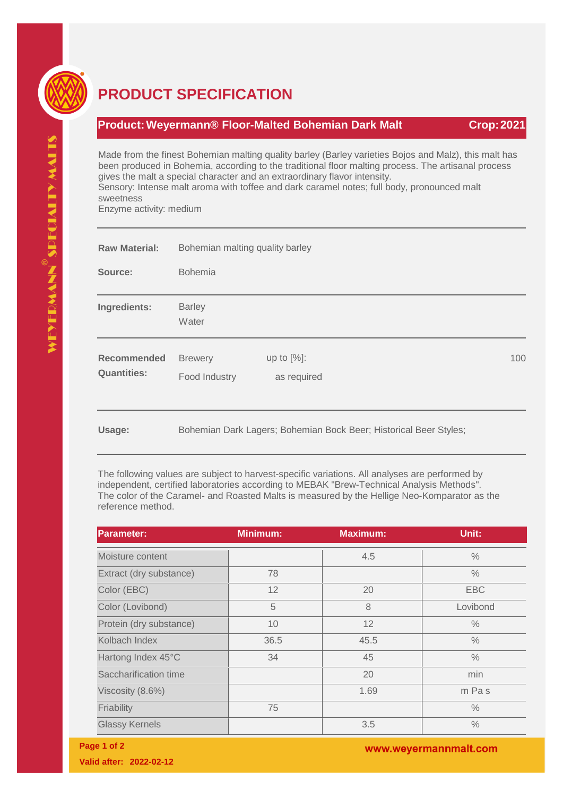

## **PRODUCT SPECIFICATION**

## **Product:Weyermann® Floor-Malted Bohemian Dark Malt Crop:2021**

Made from the finest Bohemian malting quality barley (Barley varieties Bojos and Malz), this malt has been produced in Bohemia, according to the traditional floor malting process. The artisanal process gives the malt a special character and an extraordinary flavor intensity. Sensory: Intense malt aroma with toffee and dark caramel notes; full body, pronounced malt sweetness Enzyme activity: medium

| <b>Raw Material:</b>                     | Bohemian malting quality barley<br><b>Bohemia</b> |                                                                   |     |  |
|------------------------------------------|---------------------------------------------------|-------------------------------------------------------------------|-----|--|
| Source:                                  |                                                   |                                                                   |     |  |
| Ingredients:                             | <b>Barley</b><br>Water                            |                                                                   |     |  |
| <b>Recommended</b><br><b>Quantities:</b> | <b>Brewery</b><br>Food Industry                   | up to $[%]$ :<br>as required                                      | 100 |  |
| Usage:                                   |                                                   | Bohemian Dark Lagers; Bohemian Bock Beer; Historical Beer Styles; |     |  |

The following values are subject to harvest-specific variations. All analyses are performed by independent, certified laboratories according to MEBAK "Brew-Technical Analysis Methods". The color of the Caramel- and Roasted Malts is measured by the Hellige Neo-Komparator as the reference method.

| <b>Parameter:</b>       | <b>Minimum:</b> | <b>Maximum:</b> | Unit:         |
|-------------------------|-----------------|-----------------|---------------|
| Moisture content        |                 | 4.5             | $\frac{0}{0}$ |
| Extract (dry substance) | 78              |                 | $\frac{0}{0}$ |
| Color (EBC)             | 12              | 20              | <b>EBC</b>    |
| Color (Lovibond)        | 5               | 8               | Lovibond      |
| Protein (dry substance) | 10              | 12              | $\frac{0}{0}$ |
| Kolbach Index           | 36.5            | 45.5            | $\frac{0}{0}$ |
| Hartong Index 45°C      | 34              | 45              | $\frac{0}{0}$ |
| Saccharification time   |                 | 20              | min           |
| Viscosity (8.6%)        |                 | 1.69            | m Pas         |
| Friability              | 75              |                 | $\frac{0}{0}$ |
| <b>Glassy Kernels</b>   |                 | 3.5             | $\frac{0}{0}$ |